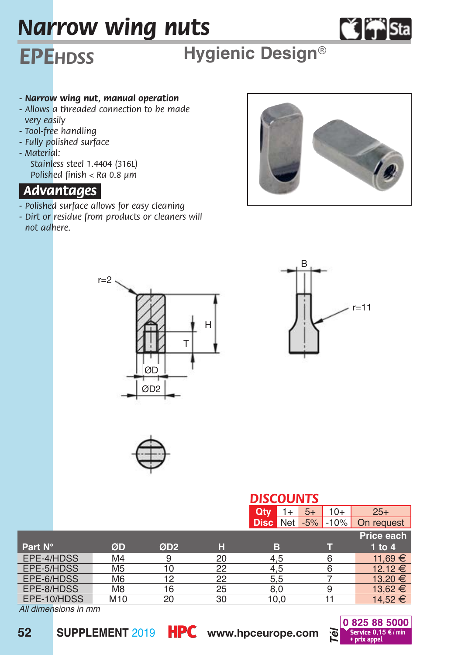# *Narrow wing nuts*

# **Č** ₩ Sta

## *EPEhdss* **Hygienic Design***®*

#### *- Narrow wing nut, manual operation*

- *Allows a threaded connection to be made very easily*
- *Tool-free handling*
- *Fully polished surface*
- *Material: Stainless steel 1.4404 (316L) Polished finish < Ra 0.8 µm*

### *Advantages.*

- *Polished surface allows for easy cleaning*
- *Dirt or residue from products or cleaners will not adhere.*









|  | <b>DISCOUNTS</b> |  |  |
|--|------------------|--|--|

|             |                |                 |    | ---------          |                 |             |  |  |  |
|-------------|----------------|-----------------|----|--------------------|-----------------|-------------|--|--|--|
|             |                |                 |    | Qtv<br>1+          | $10+$<br>$5+$   | $25+$       |  |  |  |
|             |                |                 |    | Net<br><b>Disc</b> | $-10%$<br>$-5%$ | On request  |  |  |  |
|             |                |                 |    |                    |                 | Price each  |  |  |  |
| Part N°     | ØD             | ØD <sub>2</sub> | н  | в                  |                 | $1$ to $4$  |  |  |  |
| EPE-4/HDSS  | M <sub>4</sub> | 9               | 20 | 4.5                |                 | 11.69 €     |  |  |  |
| EPE-5/HDSS  | M <sub>5</sub> | 10              | 22 | 4.5                |                 | 12.12 €     |  |  |  |
| EPE-6/HDSS  | M <sub>6</sub> | 12              | 22 | 5.5                |                 | $13.20 \in$ |  |  |  |
| EPE-8/HDSS  | M <sub>8</sub> | 16              | 25 | 8.0                |                 | 13.62 €     |  |  |  |
| EPE-10/HDSS | M10            | 20              | 30 | 10.0               |                 | 14.52 €     |  |  |  |

*All dimensions in mm*